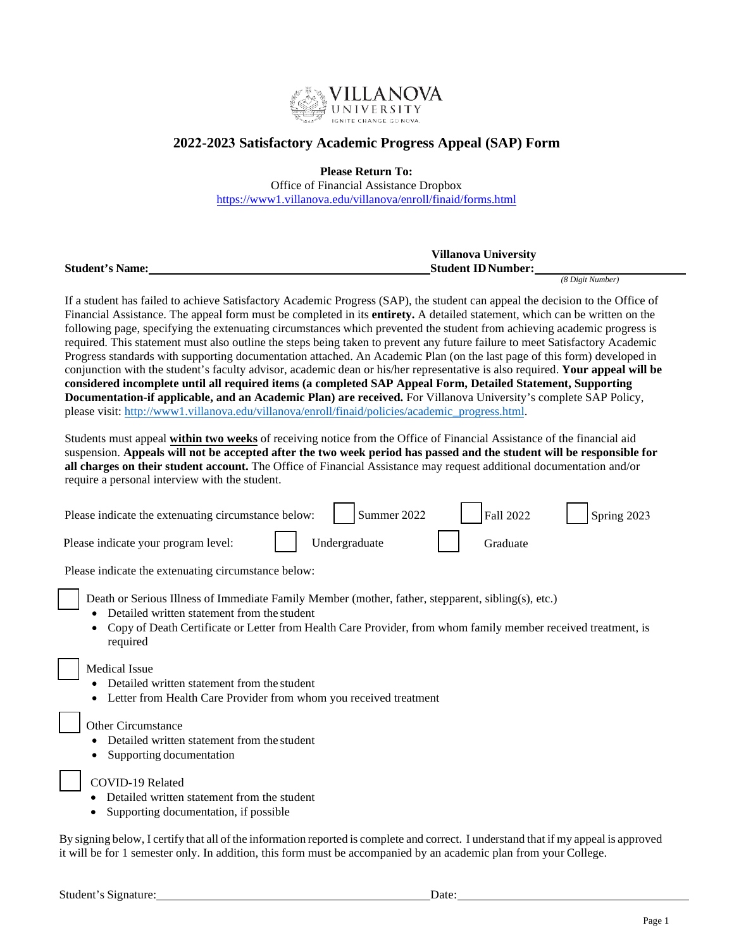

### **2022-2023 Satisfactory Academic Progress Appeal (SAP) Form**

**Please Return To:**

Office of Financial Assistance Dropbox <https://www1.villanova.edu/villanova/enroll/finaid/forms.html>

|                        | <b>Villanova University</b> |
|------------------------|-----------------------------|
| <b>Student's Name:</b> | <b>Student ID Number:</b>   |

*(8 Digit Number)*

If a student has failed to achieve Satisfactory Academic Progress (SAP), the student can appeal the decision to the Office of Financial Assistance. The appeal form must be completed in its **entirety.** A detailed statement, which can be written on the following page, specifying the extenuating circumstances which prevented the student from achieving academic progress is required. This statement must also outline the steps being taken to prevent any future failure to meet Satisfactory Academic Progress standards with supporting documentation attached. An Academic Plan (on the last page of this form) developed in conjunction with the student's faculty advisor, academic dean or his/her representative is also required. **Your appeal will be considered incomplete until all required items (a completed SAP Appeal Form, Detailed Statement, Supporting Documentation-if applicable, and an Academic Plan) are received.** For Villanova University's complete SAP Policy, please visit: [http://www1.villanova.edu/villanova/enroll/finaid/policies/academic\\_progress.html.](http://www1.villanova.edu/villanova/enroll/finaid/policies/academic_progress.html)

Students must appeal **within two weeks** of receiving notice from the Office of Financial Assistance of the financial aid suspension. **Appeals will not be accepted after the two week period has passed and the student will be responsible for all charges on their student account.** The Office of Financial Assistance may request additional documentation and/or require a personal interview with the student.

| Please indicate the extenuating circumstance below: | Summer 2022   | Fall 2022       | Spring 2023 |
|-----------------------------------------------------|---------------|-----------------|-------------|
| Please indicate your program level:                 | Undergraduate | <b>Graduate</b> |             |

Please indicate the extenuating circumstance below:

Death or Serious Illness of Immediate Family Member (mother, father, stepparent, sibling(s), etc.)

- Detailed written statement from the student
- Copy of Death Certificate or Letter from Health Care Provider, from whom family member received treatment, is required

Medical Issue

- Detailed written statement from the student
- Letter from Health Care Provider from whom you received treatment

### Other Circumstance

- Detailed written statement from the student
- Supporting documentation

### COVID-19 Related

- Detailed written statement from the student
- Supporting documentation, if possible

By signing below, I certify that all ofthe information reported is complete and correct. I understand that if my appeal is approved it will be for 1 semester only. In addition, this form must be accompanied by an academic plan from your College.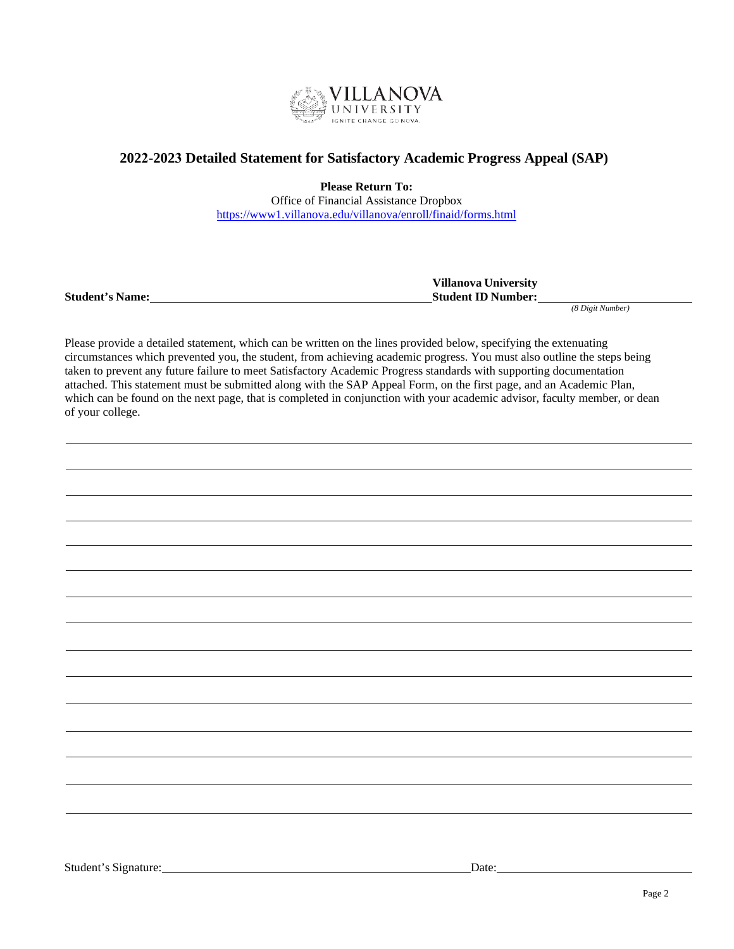

## **2022-2023 Detailed Statement for Satisfactory Academic Progress Appeal (SAP)**

**Please Return To:** Office of Financial Assistance Dropbox <https://www1.villanova.edu/villanova/enroll/finaid/forms.html>

**Villanova University Student's Name: Student ID Number:**

*(8 Digit Number)*

Please provide a detailed statement, which can be written on the lines provided below, specifying the extenuating circumstances which prevented you, the student, from achieving academic progress. You must also outline the steps being taken to prevent any future failure to meet Satisfactory Academic Progress standards with supporting documentation attached. This statement must be submitted along with the SAP Appeal Form, on the first page, and an Academic Plan, which can be found on the next page, that is completed in conjunction with your academic advisor, faculty member, or dean of your college.